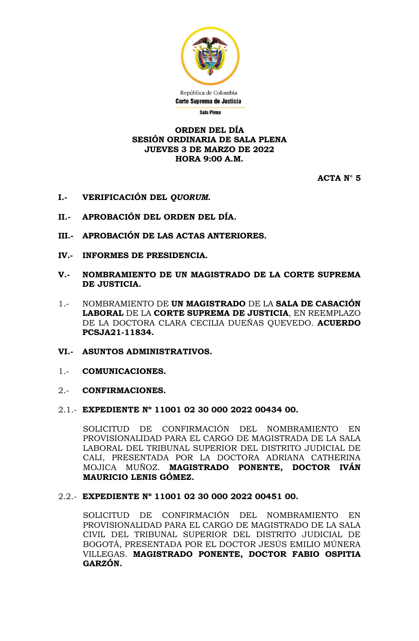

#### **ORDEN DEL DÍA SESIÓN ORDINARIA DE SALA PLENA JUEVES 3 DE MARZO DE 2022 HORA 9:00 A.M.**

**ACTA N° 5**

- **I.- VERIFICACIÓN DEL** *QUORUM***.**
- **II.- APROBACIÓN DEL ORDEN DEL DÍA.**
- **III.- APROBACIÓN DE LAS ACTAS ANTERIORES.**
- **IV.- INFORMES DE PRESIDENCIA.**
- **V.- NOMBRAMIENTO DE UN MAGISTRADO DE LA CORTE SUPREMA DE JUSTICIA.**
- 1.- NOMBRAMIENTO DE **UN MAGISTRADO** DE LA **SALA DE CASACIÓN LABORAL** DE LA **CORTE SUPREMA DE JUSTICIA**, EN REEMPLAZO DE LA DOCTORA CLARA CECILIA DUEÑAS QUEVEDO. **ACUERDO PCSJA21-11834.**
- **VI.- ASUNTOS ADMINISTRATIVOS.**
- 1.- **COMUNICACIONES.**
- 2.- **CONFIRMACIONES.**
- 2.1.- **EXPEDIENTE Nº 11001 02 30 000 2022 00434 00.**

SOLICITUD DE CONFIRMACIÓN DEL NOMBRAMIENTO EN PROVISIONALIDAD PARA EL CARGO DE MAGISTRADA DE LA SALA LABORAL DEL TRIBUNAL SUPERIOR DEL DISTRITO JUDICIAL DE CALI, PRESENTADA POR LA DOCTORA ADRIANA CATHERINA MOJICA MUÑOZ. **MAGISTRADO PONENTE, DOCTOR IVÁN MAURICIO LENIS GÓMEZ.**

2.2.- **EXPEDIENTE Nº 11001 02 30 000 2022 00451 00.**

SOLICITUD DE CONFIRMACIÓN DEL NOMBRAMIENTO EN PROVISIONALIDAD PARA EL CARGO DE MAGISTRADO DE LA SALA CIVIL DEL TRIBUNAL SUPERIOR DEL DISTRITO JUDICIAL DE BOGOTÁ, PRESENTADA POR EL DOCTOR JESÚS EMILIO MÚNERA VILLEGAS. **MAGISTRADO PONENTE, DOCTOR FABIO OSPITIA GARZÓN.**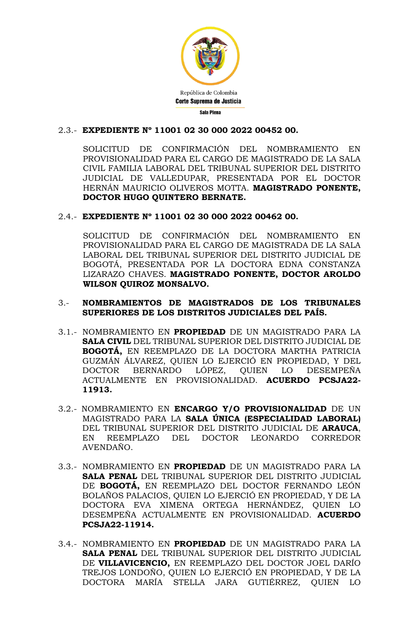

## 2.3.- **EXPEDIENTE Nº 11001 02 30 000 2022 00452 00.**

SOLICITUD DE CONFIRMACIÓN DEL NOMBRAMIENTO EN PROVISIONALIDAD PARA EL CARGO DE MAGISTRADO DE LA SALA CIVIL FAMILIA LABORAL DEL TRIBUNAL SUPERIOR DEL DISTRITO JUDICIAL DE VALLEDUPAR, PRESENTADA POR EL DOCTOR HERNÁN MAURICIO OLIVEROS MOTTA. **MAGISTRADO PONENTE, DOCTOR HUGO QUINTERO BERNATE.**

## 2.4.- **EXPEDIENTE Nº 11001 02 30 000 2022 00462 00.**

SOLICITUD DE CONFIRMACIÓN DEL NOMBRAMIENTO EN PROVISIONALIDAD PARA EL CARGO DE MAGISTRADA DE LA SALA LABORAL DEL TRIBUNAL SUPERIOR DEL DISTRITO JUDICIAL DE BOGOTÁ, PRESENTADA POR LA DOCTORA EDNA CONSTANZA LIZARAZO CHAVES. **MAGISTRADO PONENTE, DOCTOR AROLDO WILSON QUIROZ MONSALVO.**

### 3.- **NOMBRAMIENTOS DE MAGISTRADOS DE LOS TRIBUNALES SUPERIORES DE LOS DISTRITOS JUDICIALES DEL PAÍS.**

- 3.1.- NOMBRAMIENTO EN **PROPIEDAD** DE UN MAGISTRADO PARA LA **SALA CIVIL** DEL TRIBUNAL SUPERIOR DEL DISTRITO JUDICIAL DE **BOGOTÁ,** EN REEMPLAZO DE LA DOCTORA MARTHA PATRICIA GUZMÁN ÁLVAREZ, QUIEN LO EJERCIÓ EN PROPIEDAD, Y DEL DOCTOR BERNARDO LÓPEZ, QUIEN LO DESEMPEÑA ACTUALMENTE EN PROVISIONALIDAD. **ACUERDO PCSJA22- 11913.**
- 3.2.- NOMBRAMIENTO EN **ENCARGO Y/O PROVISIONALIDAD** DE UN MAGISTRADO PARA LA **SALA ÚNICA (ESPECIALIDAD LABORAL)** DEL TRIBUNAL SUPERIOR DEL DISTRITO JUDICIAL DE **ARAUCA**, EN REEMPLAZO DEL DOCTOR LEONARDO CORREDOR AVENDAÑO.
- 3.3.- NOMBRAMIENTO EN **PROPIEDAD** DE UN MAGISTRADO PARA LA **SALA PENAL** DEL TRIBUNAL SUPERIOR DEL DISTRITO JUDICIAL DE **BOGOTÁ,** EN REEMPLAZO DEL DOCTOR FERNANDO LEÓN BOLAÑOS PALACIOS, QUIEN LO EJERCIÓ EN PROPIEDAD, Y DE LA DOCTORA EVA XIMENA ORTEGA HERNÁNDEZ, QUIEN LO DESEMPEÑA ACTUALMENTE EN PROVISIONALIDAD. **ACUERDO PCSJA22-11914.**
- 3.4.- NOMBRAMIENTO EN **PROPIEDAD** DE UN MAGISTRADO PARA LA **SALA PENAL** DEL TRIBUNAL SUPERIOR DEL DISTRITO JUDICIAL DE **VILLAVICENCIO,** EN REEMPLAZO DEL DOCTOR JOEL DARÍO TREJOS LONDOÑO, QUIEN LO EJERCIÓ EN PROPIEDAD, Y DE LA DOCTORA MARÍA STELLA JARA GUTIÉRREZ, QUIEN LO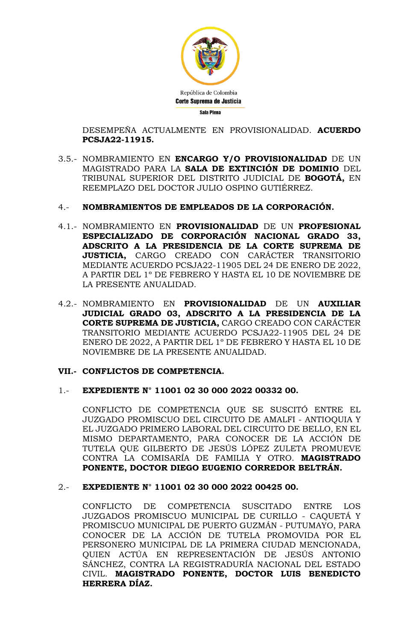

DESEMPEÑA ACTUALMENTE EN PROVISIONALIDAD. **ACUERDO PCSJA22-11915.**

3.5.- NOMBRAMIENTO EN **ENCARGO Y/O PROVISIONALIDAD** DE UN MAGISTRADO PARA LA **SALA DE EXTINCIÓN DE DOMINIO** DEL TRIBUNAL SUPERIOR DEL DISTRITO JUDICIAL DE **BOGOTÁ,** EN REEMPLAZO DEL DOCTOR JULIO OSPINO GUTIÉRREZ.

#### 4.- **NOMBRAMIENTOS DE EMPLEADOS DE LA CORPORACIÓN.**

- 4.1.- NOMBRAMIENTO EN **PROVISIONALIDAD** DE UN **PROFESIONAL ESPECIALIZADO DE CORPORACIÓN NACIONAL GRADO 33, ADSCRITO A LA PRESIDENCIA DE LA CORTE SUPREMA DE JUSTICIA,** CARGO CREADO CON CARÁCTER TRANSITORIO MEDIANTE ACUERDO PCSJA22-11905 DEL 24 DE ENERO DE 2022, A PARTIR DEL 1º DE FEBRERO Y HASTA EL 10 DE NOVIEMBRE DE LA PRESENTE ANUALIDAD.
- 4.2.- NOMBRAMIENTO EN **PROVISIONALIDAD** DE UN **AUXILIAR JUDICIAL GRADO 03, ADSCRITO A LA PRESIDENCIA DE LA CORTE SUPREMA DE JUSTICIA,** CARGO CREADO CON CARÁCTER TRANSITORIO MEDIANTE ACUERDO PCSJA22-11905 DEL 24 DE ENERO DE 2022, A PARTIR DEL 1º DE FEBRERO Y HASTA EL 10 DE NOVIEMBRE DE LA PRESENTE ANUALIDAD.

#### **VII.- CONFLICTOS DE COMPETENCIA.**

#### 1.- **EXPEDIENTE N° 11001 02 30 000 2022 00332 00.**

CONFLICTO DE COMPETENCIA QUE SE SUSCITÓ ENTRE EL JUZGADO PROMISCUO DEL CIRCUITO DE AMALFI - ANTIOQUIA Y EL JUZGADO PRIMERO LABORAL DEL CIRCUITO DE BELLO, EN EL MISMO DEPARTAMENTO, PARA CONOCER DE LA ACCIÓN DE TUTELA QUE GILBERTO DE JESÚS LÓPEZ ZULETA PROMUEVE CONTRA LA COMISARÍA DE FAMILIA Y OTRO. **MAGISTRADO PONENTE, DOCTOR DIEGO EUGENIO CORREDOR BELTRÁN.**

#### 2.- **EXPEDIENTE N° 11001 02 30 000 2022 00425 00.**

CONFLICTO DE COMPETENCIA SUSCITADO ENTRE LOS JUZGADOS PROMISCUO MUNICIPAL DE CURILLO - CAQUETÁ Y PROMISCUO MUNICIPAL DE PUERTO GUZMÁN - PUTUMAYO, PARA CONOCER DE LA ACCIÓN DE TUTELA PROMOVIDA POR EL PERSONERO MUNICIPAL DE LA PRIMERA CIUDAD MENCIONADA, QUIEN ACTÚA EN REPRESENTACIÓN DE JESÚS ANTONIO SÁNCHEZ, CONTRA LA REGISTRADURÍA NACIONAL DEL ESTADO CIVIL. **MAGISTRADO PONENTE, DOCTOR LUIS BENEDICTO HERRERA DÍAZ.**